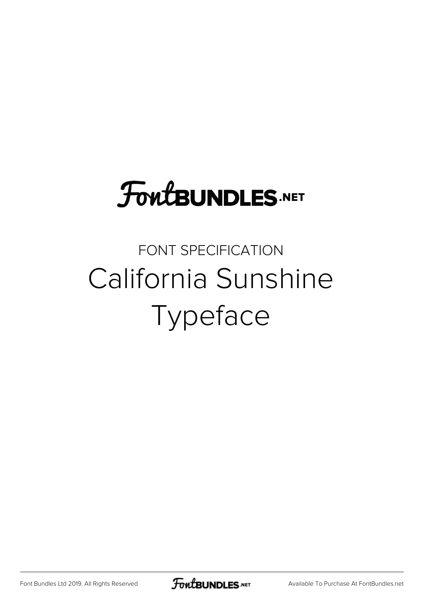# **FoutBUNDLES.NET**

### FONT SPECIFICATION California Sunshine Typeface

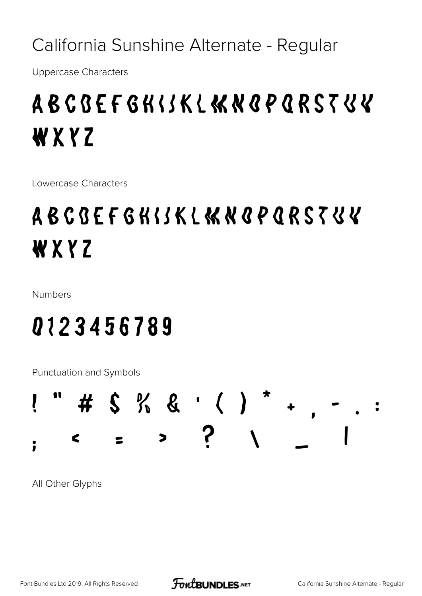California Sunshine Alternate - Regular

**Uppercase Characters** 

## ABCBEFGKIJKL KK ROPQRSTUV WXYZ

Lowercase Characters

### ABCBEFGKIJKLKK NOPORSTUV WXYZ

**Numbers** 

#### 0123456789

Punctuation and Symbols



All Other Glyphs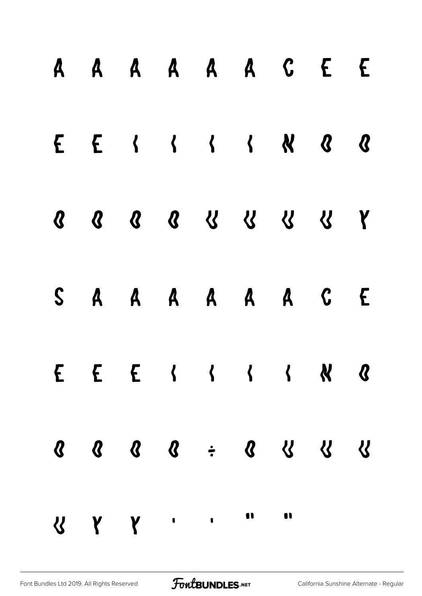|  | A A A A A A C E E |  |  |  |
|--|-------------------|--|--|--|
|  |                   |  |  |  |
|  | 8 8 8 8 3 3 3 4 Y |  |  |  |
|  | S A A A A A A C E |  |  |  |
|  |                   |  |  |  |
|  |                   |  |  |  |
|  | 3 Y Y ' ' " "     |  |  |  |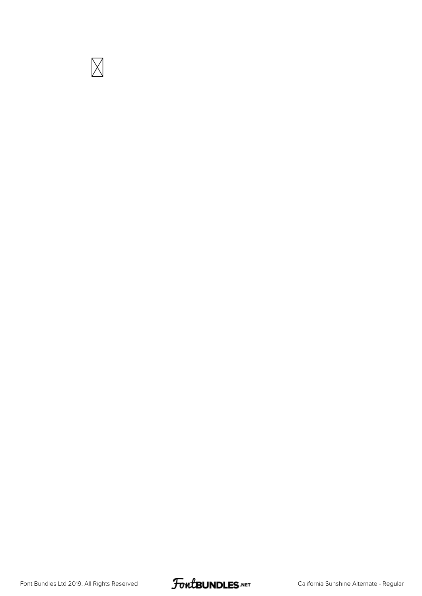

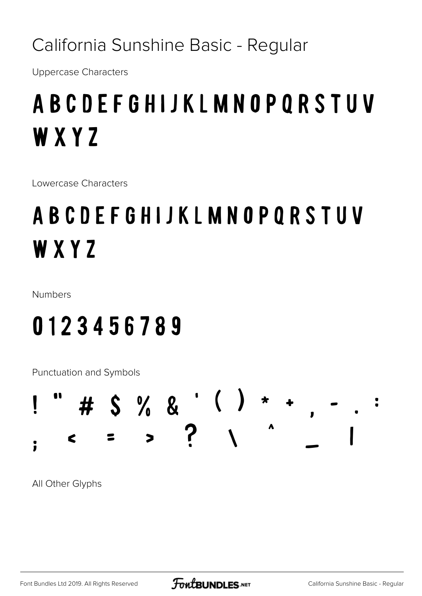#### California Sunshine Basic - Regular

**Uppercase Characters** 

## **ABCDEFGHIJKLMNOPQRSTUV** WXYZ

Lowercase Characters

## **ABCDEFGHIJKLMNOPQRSTUV** WXYZ

Numbers

### 0123456789

Punctuation and Symbols



All Other Glyphs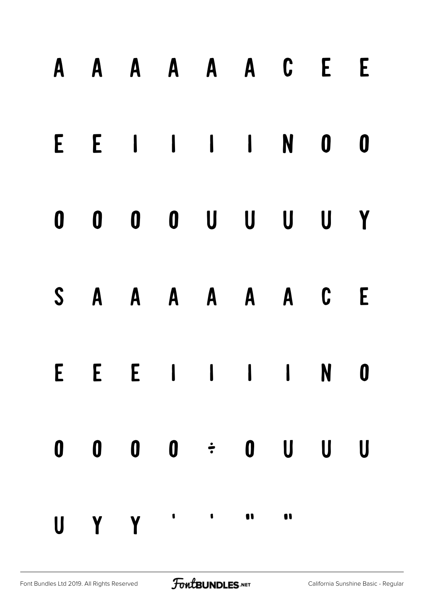| A A A A A A C E                                                                                                     |  |  |  | E                |
|---------------------------------------------------------------------------------------------------------------------|--|--|--|------------------|
| E E I I I I N 0                                                                                                     |  |  |  | $\boldsymbol{0}$ |
| 0 0 0 0 0 0 0 0 0 Y                                                                                                 |  |  |  |                  |
| S A A A A A A C                                                                                                     |  |  |  | E                |
| $E$ $E$ $E$ $I$ $I$ $I$ $N$ 0                                                                                       |  |  |  |                  |
| $\begin{matrix} 0 & 0 & 0 & 0 & \div & 0 & 0 & 0 & 0 \end{matrix}$                                                  |  |  |  |                  |
| $\begin{array}{cccccccccccccc} U & Y & Y & \cdot & \cdot & \cdot & \cdot & \cdot & \cdot & \cdot \cdot \end{array}$ |  |  |  |                  |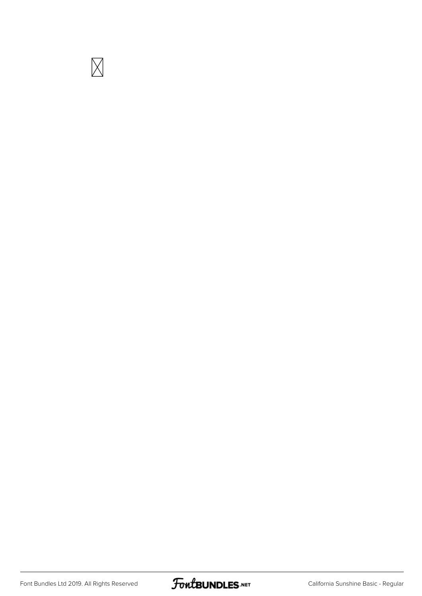

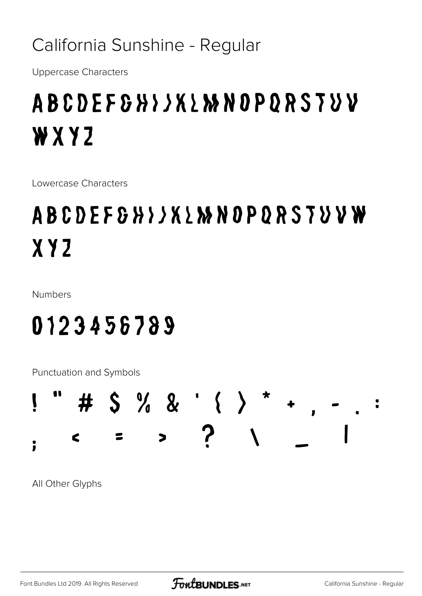#### California Sunshine - Regular

**Uppercase Characters** 

## ABCDEF&HIJKIMNOPQRSTUV **WXYZ**

Lowercase Characters

## ABCDEFSHIJKLMNOPQRSTUVW XYZ

**Numbers** 

### 0123456789

Punctuation and Symbols



All Other Glyphs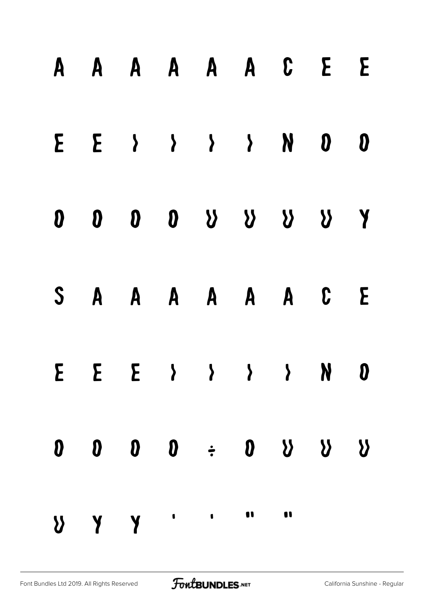|  |  |                                                                                                                            | A A A A A A C E E                                                                                                                                                                                                                                                                                                                                                                                                                                   |  |
|--|--|----------------------------------------------------------------------------------------------------------------------------|-----------------------------------------------------------------------------------------------------------------------------------------------------------------------------------------------------------------------------------------------------------------------------------------------------------------------------------------------------------------------------------------------------------------------------------------------------|--|
|  |  |                                                                                                                            | $E$ $E$ $\rightarrow$ $E$ $\rightarrow$ $E$ $\rightarrow$ $E$ $\rightarrow$ $E$ $\rightarrow$ $E$ $\rightarrow$ $E$ $\rightarrow$ $E$ $\rightarrow$ $E$ $\rightarrow$ $E$ $\rightarrow$ $E$ $\rightarrow$ $E$ $\rightarrow$ $E$ $\rightarrow$ $E$ $\rightarrow$ $E$ $\rightarrow$ $E$ $\rightarrow$ $E$ $\rightarrow$ $E$ $\rightarrow$ $E$ $\rightarrow$ $E$ $\rightarrow$ $E$ $\rightarrow$ $E$ $\rightarrow$ $E$ $\rightarrow$ $E$ $\rightarrow$ |  |
|  |  |                                                                                                                            | $0 \quad 0 \quad 0 \quad 0 \quad \vee \quad \vee \quad \vee \quad \vee \quad \vee$                                                                                                                                                                                                                                                                                                                                                                  |  |
|  |  |                                                                                                                            | S A A A A A A C E                                                                                                                                                                                                                                                                                                                                                                                                                                   |  |
|  |  |                                                                                                                            |                                                                                                                                                                                                                                                                                                                                                                                                                                                     |  |
|  |  |                                                                                                                            | $0\qquad 0\qquad 0\qquad \div\qquad 0\qquad \vee\qquad \vee\qquad \vee$                                                                                                                                                                                                                                                                                                                                                                             |  |
|  |  | $\begin{array}{cccccccccccccc} \mathbf{y} & \mathbf{y} & \mathbf{y} & \cdot & \cdot & \cdot & \cdots & \cdots \end{array}$ |                                                                                                                                                                                                                                                                                                                                                                                                                                                     |  |